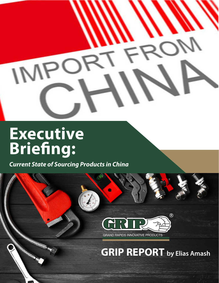## $\overline{O}$ IM

## **Executive Briefing:**

*Current State of Sourcing Products in China*

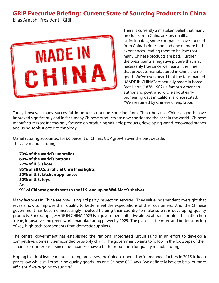## **GRIP Executive Briefing: Current State of Sourcing Products in China**

Elias Amash, President - GRIP



There is currently a mistaken belief that many products from China are low quality. Unfortunately, some companies have sourced from China before, and had one or more bad experiences, leading them to believe that many Chinese products are bad. Further, the press paints a negative picture that isn't necessarily true since we hear all the time that products manufactured in China are no good. We've even heard that the tags marked "MADE IN CHINA" are actually made in Korea! Bret Harte (1836-1902), a famous American author and poet who wrote about early pioneering days in California, once stated, "We are ruined by Chinese cheap labor."

Today however, many successful importers continue sourcing from China because Chinese goods have improved significantly and in fact, many Chinese products are now considered the best in the world. Chinese manufacturers are increasingly focused on producing valuable products, developing world-renowned brands and using sophisticated technology.

Manufacturing accounted for 60 percent of China's GDP growth over the past decade. They are manufacturing:

**70% of the world's umbrellas 60% of the world's buttons 72% of U.S. shoes 85% of all U.S. artificial Christmas lights 50% of U.S. kitchen appliances 50% of U.S. toys** And, **9% of Chinese goods sent to the U.S. end up on Wal-Mart's shelves**

Many factories in China are now using 3rd party inspection services. They value independent oversight that reveals how to improve their quality to better meet the expectations of their customers. And, the Chinese government has become increasingly involved helping their country to make sure it is developing quality products. For example, MADE IN CHINA 2025 is a government initiative aimed at transforming the nation into a lean, innovative and green world manufacturing power by 2025. The plan calls for more and better sourcing of key, high-tech components from domestic suppliers.

The central government has established the National Integrated Circuit Fund in an effort to develop a competitive, domestic semiconductor supply chain. The government wants to follow in the footsteps of their Japanese counterparts, since the Japanese have a better reputation for quality manufacturing.

Hoping to adopt leaner manufacturing processes, the Chinese opened an "unmanned" factory in 2015 to keep prices low while still producing quality goods. As one Chinese CEO says, "we definitely have to be a lot more efficient if we're going to survive."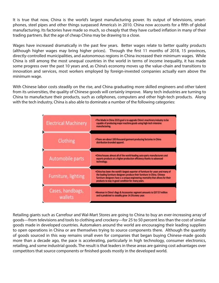It is true that now, China is the world's largest manufacturing power. Its output of televisions, smartphones, steel pipes and other things surpassed America's in 2010. China now accounts for a fifth of global manufacturing. Its factories have made so much, so cheaply that they have curbed inflation in many of their trading partners. But the age of cheap China may be drawing to a close.

Wages have increased dramatically in the past few years. Better wages relate to better quality products (although higher wages may bring higher prices). Through the first 11 months of 2018, 15 provinces, directly-controlled municipalities, and autonomous regions in China increased their minimum wages. While China is still among the most unequal countries in the world in terms of income inequality, it has made some progress over the past 10 years and, as China's economy moves up the value-chain and transitions to innovation and services, most workers employed by foreign-invested companies actually earn above the minimum wage.

With Chinese labor costs steadily on the rise, and China graduating more skilled engineers and other talent from its universities, the quality of Chinese goods will certainly improve. Many tech industries are turning to China to manufacture their products, such as cellphones, computers and other high-tech products. Along with the tech industry, China is also able to dominate a number of the following categories:



Retailing giants such as Carrefour and Wal-Mart Stores are going to China to buy an ever-increasing array of goods—from televisions and tools to clothing and crockery—for 25 to 50 percent less than the cost of similar goods made in developed countries. Automakers around the world are encouraging their leading suppliers to open operations in China or are themselves trying to source components there. Although the quantity of goods sourced in this way remains small even for companies that began buying Chinese-made goods more than a decade ago, the pace is accelerating, particularly in high technology, consumer electronics, retailing, and some industrial goods. The result is that leaders in these areas are gaining cost advantages over competitors that source components or finished goods mostly in the developed world.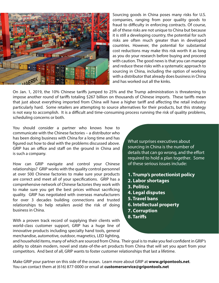

Sourcing goods in China poses many risks for U.S. companies, ranging from poor quality goods to fraud to difficulty in enforcing contracts. Of course, all of these risks are not unique to China but because it is still a developing country, the potential for such risks are often much greater than in developed countries. However, the potential for substantial cost reductions may make this risk worth it as long as you do your research before buying and proceed with caution. The good news is that you can manage and reduce these risks with a systematic approach to sourcing in China, including the option of working with a distributor that already does business in China and has worked out all the kinks.

On Jan. 1, 2019, the 10% Chinese tariffs jumped to 25% and the Trump administration is threatening to impose another round of tariffs totaling \$267 billion on thousands of Chinese imports. These tariffs mean that just about everything imported from China will have a higher tariff and affecting the retail industry particularly hard. Some retailers are attempting to source alternatives for their products, but this strategy is not easy to accomplish. It is a difficult and time-consuming process running the risk of quality problems, scheduling concerns or both.

You should consider a partner who knows how to communicate with the Chinese factories – a distributor who has been doing business with China for a long time and has figured out how to deal with the problems discussed above. GRIP has an office and staff on the ground in China and is such a company.

How can GRIP navigate and control your Chinese relationships? GRIP works with the quality control personnel at over 500 Chinese factories to make sure your products are correct and meet all of your specifications. GRIP has a comprehensive network of Chinese factories they work with to make sure you get the best prices without sacrificing quality. GRIP has negotiated with overseas manufacturers for over 3 decades building connections and trusted relationships to help retailers avoid the risk of doing business in China.

With a proven track record of supplying their clients with world-class customer support, GRIP has a huge line of innovative products including specialty hand tools, general merchandise, automotive, outdoor, magnetics, LED lighting,

What surprises executives about sourcing in China is the number of details that can go wrong, and the effort required to hold a plan together. Some of these serious issues include:

- **1. Trump's protectionist policy**
- **2. Labor shortages**
- **3. Politics**
- **4. Legal disputes**
- **5. Travel bans**
- **6. Intellectual property**
- **7. Corruption**
- **8. Tariffs**

and household items, many of which are sourced from China. Their goal is to make you feel confident in GRIP's ability to obtain modern, novel and state-of-the-art products from China that will set you apart from your competitors. And best of all, GRIP wants to foster customer relationships that last a lifetime.

Make GRIP your partner on this side of the ocean. Learn more about GRIP at **[www.gripontools.net](http://www.gripontools.net)**. You can contact them at (616) 877-0000 or email at **[customerservice@gripontools.net](mailto:customerservice%40gripontools.net?subject=)**